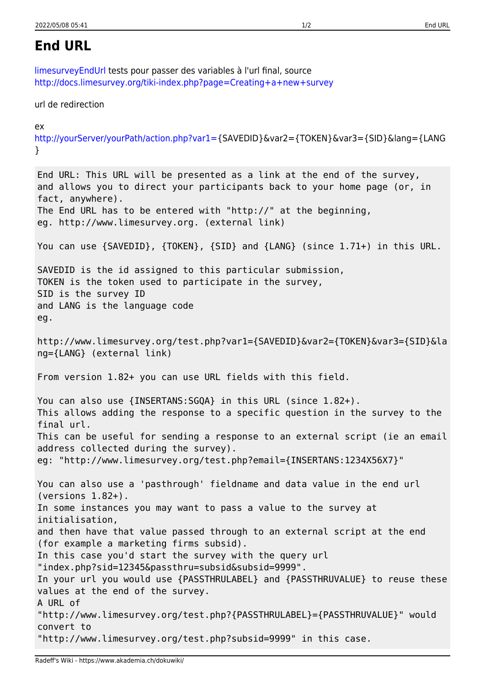## <span id="page-0-0"></span>**End URL**

[limesurveyEndUrl](#page-0-0) tests pour passer des variables à l'url final, source <http://docs.limesurvey.org/tiki-index.php?page=Creating+a+new+survey>

url de redirection

 $\mathbf{P}$ 

```
http://yourServer/yourPath/action.php?var1={SAVEDID}&var2={TOKEN}&var3={SID}&lang={LANG
}
```
End URL: This URL will be presented as a link at the end of the survey, and allows you to direct your participants back to your home page (or, in fact, anywhere). The End URL has to be entered with "http://" at the beginning, eg. http://www.limesurvey.org. (external link) You can use {SAVEDID}, {TOKEN}, {SID} and {LANG} (since 1.71+) in this URL. SAVEDID is the id assigned to this particular submission, TOKEN is the token used to participate in the survey, SID is the survey ID and LANG is the language code eg. http://www.limesurvey.org/test.php?var1={SAVEDID}&var2={TOKEN}&var3={SID}&la ng={LANG} (external link) From version 1.82+ you can use URL fields with this field. You can also use {INSERTANS: SGQA} in this URL (since 1.82+). This allows adding the response to a specific question in the survey to the final url. This can be useful for sending a response to an external script (ie an email address collected during the survey). eg: "http://www.limesurvey.org/test.php?email={INSERTANS:1234X56X7}" You can also use a 'pasthrough' fieldname and data value in the end url (versions 1.82+). In some instances you may want to pass a value to the survey at initialisation, and then have that value passed through to an external script at the end (for example a marketing firms subsid). In this case you'd start the survey with the query url "index.php?sid=12345&passthru=subsid&subsid=9999". In your url you would use {PASSTHRULABEL} and {PASSTHRUVALUE} to reuse these values at the end of the survey. A URL of "http://www.limesurvey.org/test.php?{PASSTHRULABEL}={PASSTHRUVALUE}" would convert to "http://www.limesurvey.org/test.php?subsid=9999" in this case.